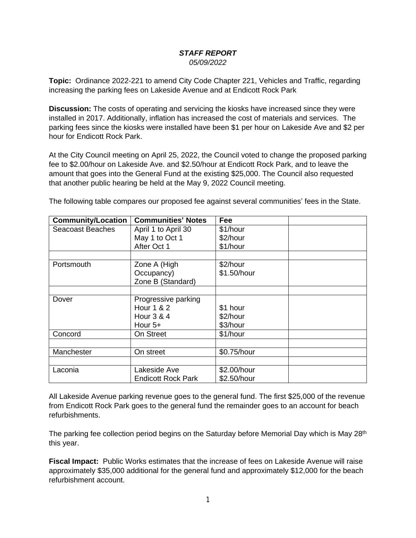## *STAFF REPORT 05/09/2022*

**Topic:** Ordinance 2022-221 to amend City Code Chapter 221, Vehicles and Traffic, regarding increasing the parking fees on Lakeside Avenue and at Endicott Rock Park

**Discussion:** The costs of operating and servicing the kiosks have increased since they were installed in 2017. Additionally, inflation has increased the cost of materials and services. The parking fees since the kiosks were installed have been \$1 per hour on Lakeside Ave and \$2 per hour for Endicott Rock Park.

At the City Council meeting on April 25, 2022, the Council voted to change the proposed parking fee to \$2.00/hour on Lakeside Ave. and \$2.50/hour at Endicott Rock Park, and to leave the amount that goes into the General Fund at the existing \$25,000. The Council also requested that another public hearing be held at the May 9, 2022 Council meeting.

The following table compares our proposed fee against several communities' fees in the State.

| <b>Community/Location</b> | <b>Communities' Notes</b> | Fee         |  |
|---------------------------|---------------------------|-------------|--|
| <b>Seacoast Beaches</b>   | April 1 to April 30       | \$1/hour    |  |
|                           | May 1 to Oct 1            | \$2/hour    |  |
|                           | After Oct 1               | \$1/hour    |  |
|                           |                           |             |  |
| Portsmouth                | Zone A (High              | \$2/hour    |  |
|                           | Occupancy)                | \$1.50/hour |  |
|                           | Zone B (Standard)         |             |  |
|                           |                           |             |  |
| Dover                     | Progressive parking       |             |  |
|                           | Hour 1 & 2                | \$1 hour    |  |
|                           | Hour 3 & 4                | \$2/hour    |  |
|                           | Hour $5+$                 | \$3/hour    |  |
| Concord                   | On Street                 | \$1/hour    |  |
|                           |                           |             |  |
| Manchester                | On street                 | \$0.75/hour |  |
|                           |                           |             |  |
| Laconia                   | Lakeside Ave              | \$2.00/hour |  |
|                           | <b>Endicott Rock Park</b> | \$2.50/hour |  |

All Lakeside Avenue parking revenue goes to the general fund. The first \$25,000 of the revenue from Endicott Rock Park goes to the general fund the remainder goes to an account for beach refurbishments.

The parking fee collection period begins on the Saturday before Memorial Day which is May 28<sup>th</sup> this year.

**Fiscal Impact:** Public Works estimates that the increase of fees on Lakeside Avenue will raise approximately \$35,000 additional for the general fund and approximately \$12,000 for the beach refurbishment account.